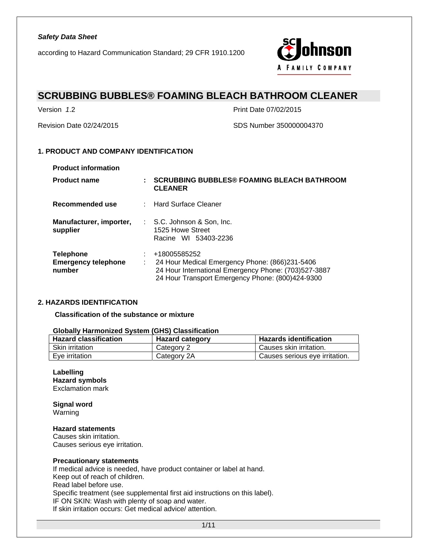

# **SCRUBBING BUBBLES® FOAMING BLEACH BATHROOM CLEANER**

Version *1*.2 Print Date 07/02/2015

Revision Date 02/24/2015 SDS Number 350000004370

### **1. PRODUCT AND COMPANY IDENTIFICATION**

| <b>Product information</b>                               |   |                                                                                                                                                                            |
|----------------------------------------------------------|---|----------------------------------------------------------------------------------------------------------------------------------------------------------------------------|
| <b>Product name</b>                                      | ÷ | <b>SCRUBBING BUBBLES® FOAMING BLEACH BATHROOM</b><br><b>CLEANER</b>                                                                                                        |
| Recommended use                                          |   | : Hard Surface Cleaner                                                                                                                                                     |
| Manufacturer, importer,<br>supplier                      |   | $\therefore$ S.C. Johnson & Son, Inc.<br>1525 Howe Street<br>Racine WI 53403-2236                                                                                          |
| <b>Telephone</b><br><b>Emergency telephone</b><br>number |   | +18005585252<br>24 Hour Medical Emergency Phone: (866)231-5406<br>24 Hour International Emergency Phone: (703)527-3887<br>24 Hour Transport Emergency Phone: (800)424-9300 |

### **2. HAZARDS IDENTIFICATION**

**Classification of the substance or mixture** 

| <b>UNDER THE EXPORTS IT ISSUED</b> THE PRODUCT OF THE VIDEO TO A THE VIDEO TO THE VIDEO OF THE VIDEO OF THE VIDEO OF T |                        |                                |  |  |
|------------------------------------------------------------------------------------------------------------------------|------------------------|--------------------------------|--|--|
| <b>Hazard classification</b>                                                                                           | <b>Hazard category</b> | <b>Hazards identification</b>  |  |  |
| <b>Skin irritation</b>                                                                                                 | Category 2             | Causes skin irritation.        |  |  |
| Eve irritation                                                                                                         | Category 2A            | Causes serious eye irritation. |  |  |

### **Globally Harmonized System (GHS) Classification**

### **Labelling Hazard symbols**

Exclamation mark

**Signal word**  Warning

### **Hazard statements**

Causes skin irritation. Causes serious eye irritation.

#### **Precautionary statements**

If medical advice is needed, have product container or label at hand. Keep out of reach of children. Read label before use. Specific treatment (see supplemental first aid instructions on this label). IF ON SKIN: Wash with plenty of soap and water. If skin irritation occurs: Get medical advice/ attention.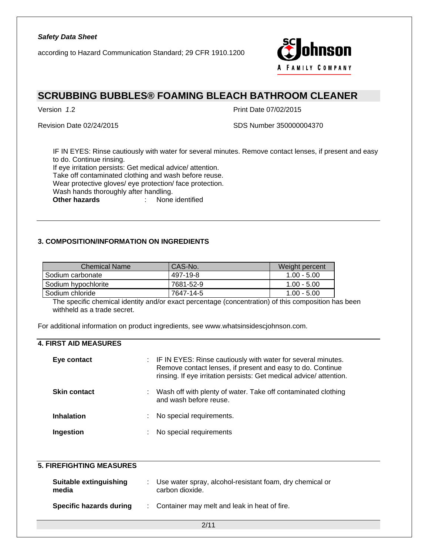according to Hazard Communication Standard; 29 CFR 1910.1200



# **SCRUBBING BUBBLES® FOAMING BLEACH BATHROOM CLEANER**

Version *1*.2 Print Date 07/02/2015

Revision Date 02/24/2015 SDS Number 350000004370

IF IN EYES: Rinse cautiously with water for several minutes. Remove contact lenses, if present and easy to do. Continue rinsing. If eye irritation persists: Get medical advice/ attention.

Take off contaminated clothing and wash before reuse. Wear protective gloves/ eye protection/ face protection.

Wash hands thoroughly after handling.

**Other hazards** : None identified

### **3. COMPOSITION/INFORMATION ON INGREDIENTS**

| <b>Chemical Name</b> | CAS-No.   | Weight percent |
|----------------------|-----------|----------------|
| . Sodium carbonate   | 497-19-8  | $1.00 - 5.00$  |
| Sodium hypochlorite  | 7681-52-9 | $1.00 - 5.00$  |
| ⊦Sodium chloride     | 7647-14-5 | $1.00 - 5.00$  |

The specific chemical identity and/or exact percentage (concentration) of this composition has been withheld as a trade secret.

For additional information on product ingredients, see www.whatsinsidescjohnson.com.

### **4. FIRST AID MEASURES**

| Eye contact         |    | : IF IN EYES: Rinse cautiously with water for several minutes.<br>Remove contact lenses, if present and easy to do. Continue<br>rinsing. If eye irritation persists: Get medical advice/attention. |
|---------------------|----|----------------------------------------------------------------------------------------------------------------------------------------------------------------------------------------------------|
| <b>Skin contact</b> |    | Wash off with plenty of water. Take off contaminated clothing<br>and wash before reuse.                                                                                                            |
| <b>Inhalation</b>   | ÷. | No special requirements.                                                                                                                                                                           |
| Ingestion           | ÷. | No special requirements                                                                                                                                                                            |

### **5. FIREFIGHTING MEASURES**

| Suitable extinguishing<br>media | Use water spray, alcohol-resistant foam, dry chemical or<br>carbon dioxide. |
|---------------------------------|-----------------------------------------------------------------------------|
| Specific hazards during         | : Container may melt and leak in heat of fire.                              |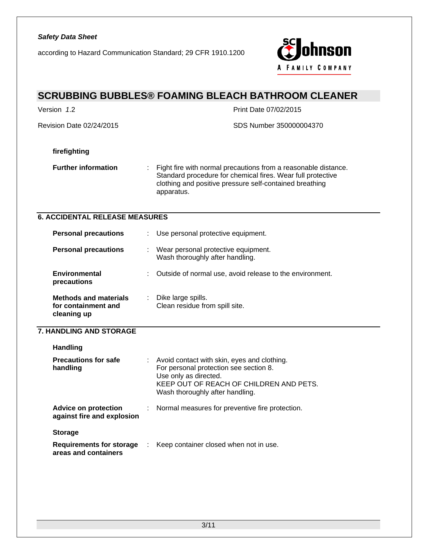according to Hazard Communication Standard; 29 CFR 1910.1200



# **SCRUBBING BUBBLES® FOAMING BLEACH BATHROOM CLEANER**  Version *1*.2 Print Date 07/02/2015

Revision Date 02/24/2015 SDS Number 350000004370

### **firefighting**

**Further information** : Fight fire with normal precautions from a reasonable distance. Standard procedure for chemical fires. Wear full protective clothing and positive pressure self-contained breathing apparatus.

### **6. ACCIDENTAL RELEASE MEASURES**

| <b>Personal precautions</b>                                        |    | Use personal protective equipment.                                     |
|--------------------------------------------------------------------|----|------------------------------------------------------------------------|
| <b>Personal precautions</b>                                        | ÷. | Wear personal protective equipment.<br>Wash thoroughly after handling. |
| <b>Environmental</b><br>precautions                                | t. | Outside of normal use, avoid release to the environment.               |
| <b>Methods and materials</b><br>for containment and<br>cleaning up |    | Dike large spills.<br>Clean residue from spill site.                   |

### **7. HANDLING AND STORAGE**

| <b>Handling</b>                                           |    |                                                                                                                                                                                              |
|-----------------------------------------------------------|----|----------------------------------------------------------------------------------------------------------------------------------------------------------------------------------------------|
| <b>Precautions for safe</b><br>handling                   | ÷. | Avoid contact with skin, eyes and clothing.<br>For personal protection see section 8.<br>Use only as directed.<br>KEEP OUT OF REACH OF CHILDREN AND PETS.<br>Wash thoroughly after handling. |
| <b>Advice on protection</b><br>against fire and explosion |    | : Normal measures for preventive fire protection.                                                                                                                                            |
| <b>Storage</b>                                            |    |                                                                                                                                                                                              |
| Requirements for storage<br>areas and containers          |    | Keep container closed when not in use.                                                                                                                                                       |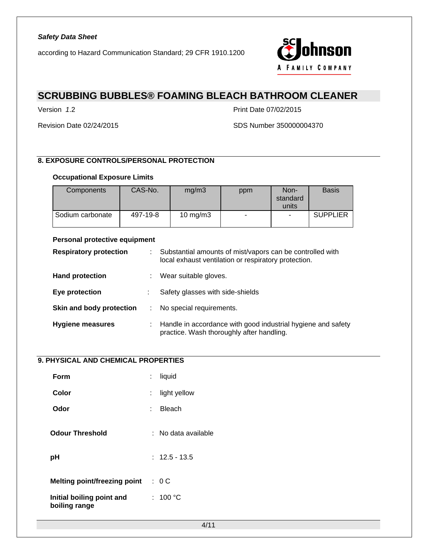

# **SCRUBBING BUBBLES® FOAMING BLEACH BATHROOM CLEANER**

Version *1*.2 Print Date 07/02/2015

Revision Date 02/24/2015 SDS Number 350000004370

### **8. EXPOSURE CONTROLS/PERSONAL PROTECTION**

### **Occupational Exposure Limits**

| <b>Components</b> | CAS-No.  | mg/m3       | ppm                      | Non-<br>standard<br>units | <b>Basis</b>    |
|-------------------|----------|-------------|--------------------------|---------------------------|-----------------|
| Sodium carbonate  | 497-19-8 | 10 mg/m $3$ | $\overline{\phantom{a}}$ | $\overline{\phantom{a}}$  | <b>SUPPLIER</b> |

### **Personal protective equipment**

| <b>Respiratory protection</b> | ÷ | Substantial amounts of mist/vapors can be controlled with<br>local exhaust ventilation or respiratory protection. |
|-------------------------------|---|-------------------------------------------------------------------------------------------------------------------|
| <b>Hand protection</b>        |   | Wear suitable gloves.                                                                                             |
| Eye protection                |   | Safety glasses with side-shields                                                                                  |
| Skin and body protection      |   | No special requirements.                                                                                          |
| <b>Hygiene measures</b>       | ÷ | Handle in accordance with good industrial hygiene and safety<br>practice. Wash thoroughly after handling.         |

# **9. PHYSICAL AND CHEMICAL PROPERTIES**

| Form                                       |     | liquid                |
|--------------------------------------------|-----|-----------------------|
| Color                                      | t.  | light yellow          |
| Odor                                       | × 1 | <b>Bleach</b>         |
| <b>Odour Threshold</b>                     |     | :   No data available |
| рH                                         |     | $: 12.5 - 13.5$       |
|                                            |     |                       |
| <b>Melting point/freezing point</b>        |     | : 0C                  |
| Initial boiling point and<br>boiling range |     | : 100 °C              |
|                                            |     |                       |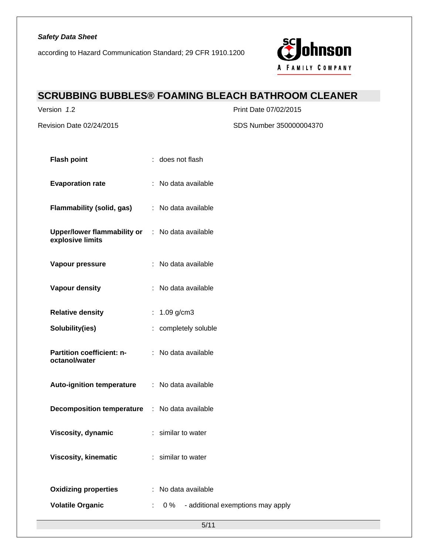according to Hazard Communication Standard; 29 CFR 1910.1200



# **SCRUBBING BUBBLES® FOAMING BLEACH BATHROOM CLEANER**

Version *1*.2 Print Date 07/02/2015

Revision Date 02/24/2015 SDS Number 350000004370

| <b>Flash point</b>                                                  | : does not flash                              |
|---------------------------------------------------------------------|-----------------------------------------------|
| <b>Evaporation rate</b>                                             | : No data available                           |
| Flammability (solid, gas) : No data available                       |                                               |
| Upper/lower flammability or : No data available<br>explosive limits |                                               |
| Vapour pressure                                                     | : No data available                           |
| Vapour density                                                      | : No data available                           |
| <b>Relative density</b>                                             | : $1.09$ g/cm3                                |
| Solubility(ies)                                                     | : completely soluble                          |
| <b>Partition coefficient: n-</b><br>octanol/water                   | : No data available                           |
| Auto-ignition temperature : No data available                       |                                               |
| <b>Decomposition temperature : No data available</b>                |                                               |
| Viscosity, dynamic                                                  | : similar to water                            |
| <b>Viscosity, kinematic</b>                                         | : similar to water                            |
| <b>Oxidizing properties</b>                                         | : No data available                           |
| <b>Volatile Organic</b>                                             | - additional exemptions may apply<br>0 %<br>÷ |
|                                                                     | 5/11                                          |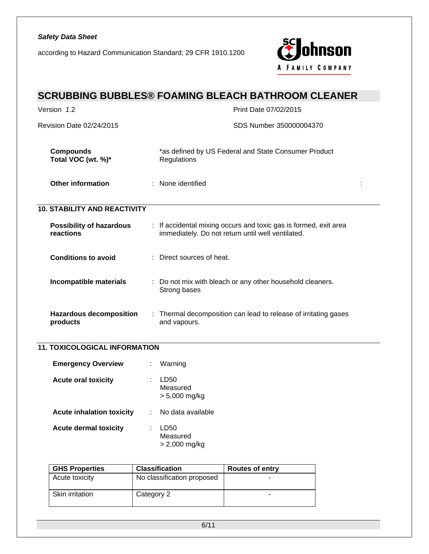according to Hazard Communication Standard; 29 CFR 1910.1200



# **SCRUBBING BUBBLES® FOAMING BLEACH BATHROOM CLEANER**

| Version 1.2                                  | Print Date 07/02/2015                                                                                                 |
|----------------------------------------------|-----------------------------------------------------------------------------------------------------------------------|
| <b>Revision Date 02/24/2015</b>              | SDS Number 350000004370                                                                                               |
| <b>Compounds</b><br>Total VOC (wt. %)*       | *as defined by US Federal and State Consumer Product<br>Regulations                                                   |
| Other information                            | : None identified                                                                                                     |
| <b>10. STABILITY AND REACTIVITY</b>          |                                                                                                                       |
| <b>Possibility of hazardous</b><br>reactions | : If accidental mixing occurs and toxic gas is formed, exit area<br>immediately. Do not return until well ventilated. |
| <b>Conditions to avoid</b>                   | $\therefore$ Direct sources of heat.                                                                                  |
| Incompatible materials                       | : Do not mix with bleach or any other household cleaners.<br>Strong bases                                             |
| <b>Hazardous decomposition</b><br>products   | : Thermal decomposition can lead to release of irritating gases<br>and vapours.                                       |

# **11. TOXICOLOGICAL INFORMATION**

| <b>Emergency Overview</b>        | Warning                           |
|----------------------------------|-----------------------------------|
| <b>Acute oral toxicity</b>       | LD50<br>Measured<br>> 5,000 mg/kg |
| <b>Acute inhalation toxicity</b> | No data available                 |
| <b>Acute dermal toxicity</b>     | LD50<br>Measured<br>> 2,000 mg/kg |

| <b>GHS Properties</b>  | <b>Classification</b>      | <b>Routes of entry</b> |
|------------------------|----------------------------|------------------------|
| Acute toxicity         | No classification proposed | -                      |
| <b>Skin irritation</b> | Category 2                 | -                      |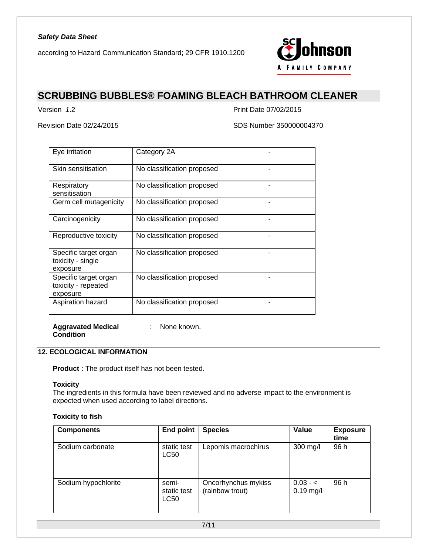

# **SCRUBBING BUBBLES® FOAMING BLEACH BATHROOM CLEANER**

Version *1*.2 Print Date 07/02/2015

Revision Date 02/24/2015 SDS Number 350000004370

| Eye irritation                                           | Category 2A                |  |
|----------------------------------------------------------|----------------------------|--|
| Skin sensitisation                                       | No classification proposed |  |
| Respiratory<br>sensitisation                             | No classification proposed |  |
| Germ cell mutagenicity                                   | No classification proposed |  |
| Carcinogenicity                                          | No classification proposed |  |
| Reproductive toxicity                                    | No classification proposed |  |
| Specific target organ<br>toxicity - single<br>exposure   | No classification proposed |  |
| Specific target organ<br>toxicity - repeated<br>exposure | No classification proposed |  |
| Aspiration hazard                                        | No classification proposed |  |

**Aggravated Medical Condition**  : None known.

# **12. ECOLOGICAL INFORMATION**

**Product :** The product itself has not been tested.

### **Toxicity**

The ingredients in this formula have been reviewed and no adverse impact to the environment is expected when used according to label directions.

#### **Toxicity to fish**

| <b>Components</b>   | <b>End point</b>                    | <b>Species</b>                         | Value                     | <b>Exposure</b><br>time |
|---------------------|-------------------------------------|----------------------------------------|---------------------------|-------------------------|
| Sodium carbonate    | static test<br><b>LC50</b>          | Lepomis macrochirus                    | 300 mg/l                  | 96 h                    |
| Sodium hypochlorite | semi-<br>static test<br><b>LC50</b> | Oncorhynchus mykiss<br>(rainbow trout) | $0.03 - c$<br>$0.19$ mg/l | 96 h                    |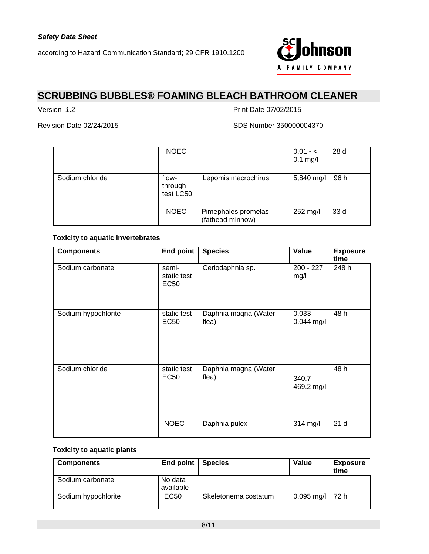

# **SCRUBBING BUBBLES® FOAMING BLEACH BATHROOM CLEANER**

Version *1*.2 Print Date 07/02/2015

Revision Date 02/24/2015 SDS Number 350000004370

|                 | <b>NOEC</b>                   |                                         | $0.01 - 5$<br>$0.1$ mg/l | 28d  |
|-----------------|-------------------------------|-----------------------------------------|--------------------------|------|
| Sodium chloride | flow-<br>through<br>test LC50 | Lepomis macrochirus                     | 5,840 mg/l               | 96 h |
|                 | <b>NOEC</b>                   | Pimephales promelas<br>(fathead minnow) | 252 mg/l                 | 33 d |

### **Toxicity to aquatic invertebrates**

| <b>Components</b>   | <b>End point</b>                    | <b>Species</b>                | Value                                           | <b>Exposure</b><br>time |
|---------------------|-------------------------------------|-------------------------------|-------------------------------------------------|-------------------------|
| Sodium carbonate    | semi-<br>static test<br><b>EC50</b> | Ceriodaphnia sp.              | $200 - 227$<br>mg/l                             | 248 h                   |
| Sodium hypochlorite | static test<br><b>EC50</b>          | Daphnia magna (Water<br>flea) | $0.033 -$<br>$0.044$ mg/l                       | 48 h                    |
| Sodium chloride     | static test<br>EC50                 | Daphnia magna (Water<br>flea) | 340.7<br>$\overline{\phantom{a}}$<br>469.2 mg/l | 48 h                    |
|                     | <b>NOEC</b>                         | Daphnia pulex                 | 314 mg/l                                        | 21 <sub>d</sub>         |

### **Toxicity to aquatic plants**

| <b>Components</b>   | End point $ $        | <b>Species</b>       | Value               | <b>Exposure</b><br>time |
|---------------------|----------------------|----------------------|---------------------|-------------------------|
| Sodium carbonate    | No data<br>available |                      |                     |                         |
| Sodium hypochlorite | EC <sub>50</sub>     | Skeletonema costatum | $0.095$ mg/l   72 h |                         |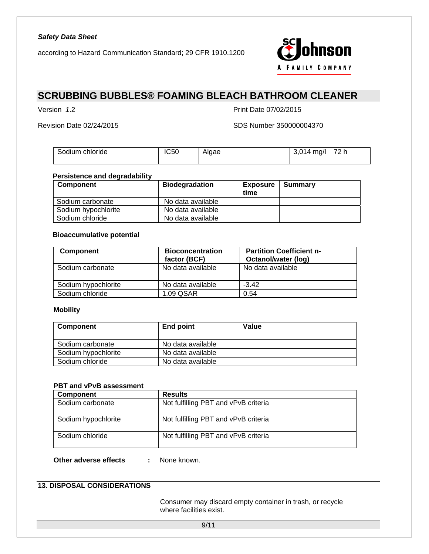

# **SCRUBBING BUBBLES® FOAMING BLEACH BATHROOM CLEANER**

Version *1*.2 Print Date 07/02/2015

Revision Date 02/24/2015 SDS Number 350000004370

| Sodium chloride | <b>IC50</b> | Alaae | $^{\prime}$<br>$\mathcal{A}$ 14.<br>ma/l | 72 h |
|-----------------|-------------|-------|------------------------------------------|------|
|                 |             |       |                                          |      |

#### **Persistence and degradability**

| <b>Component</b>    | <b>Biodegradation</b> | <b>Exposure</b><br>time | Summary |
|---------------------|-----------------------|-------------------------|---------|
| Sodium carbonate    | No data available     |                         |         |
| Sodium hypochlorite | No data available     |                         |         |
| Sodium chloride     | No data available     |                         |         |

#### **Bioaccumulative potential**

| <b>Component</b>    | <b>Bioconcentration</b><br>factor (BCF) | <b>Partition Coefficient n-</b><br>Octanol/water (log) |
|---------------------|-----------------------------------------|--------------------------------------------------------|
| Sodium carbonate    | No data available                       | No data available                                      |
| Sodium hypochlorite | No data available                       | $-3.42$                                                |
| Sodium chloride     | 1.09 QSAR                               | 0.54                                                   |

### **Mobility**

| <b>Component</b>    | End point         | Value |
|---------------------|-------------------|-------|
| Sodium carbonate    | No data available |       |
| Sodium hypochlorite | No data available |       |
| Sodium chloride     | No data available |       |

### **PBT and vPvB assessment**

| <b>Component</b>    | <b>Results</b>                       |
|---------------------|--------------------------------------|
| Sodium carbonate    | Not fulfilling PBT and vPvB criteria |
| Sodium hypochlorite | Not fulfilling PBT and vPvB criteria |
| Sodium chloride     | Not fulfilling PBT and vPvB criteria |

**Other adverse effects : None known.** 

# **13. DISPOSAL CONSIDERATIONS**

 Consumer may discard empty container in trash, or recycle where facilities exist.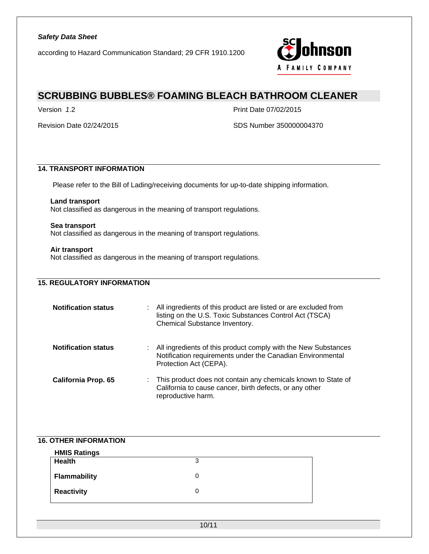

# **SCRUBBING BUBBLES® FOAMING BLEACH BATHROOM CLEANER**

Version *1*.2 Print Date 07/02/2015

Revision Date 02/24/2015 SDS Number 350000004370

### **14. TRANSPORT INFORMATION**

Please refer to the Bill of Lading/receiving documents for up-to-date shipping information.

### **Land transport**

Not classified as dangerous in the meaning of transport regulations.

#### **Sea transport**

Not classified as dangerous in the meaning of transport regulations.

#### **Air transport**

Not classified as dangerous in the meaning of transport regulations.

### **15. REGULATORY INFORMATION**

| <b>Notification status</b> |    | All ingredients of this product are listed or are excluded from<br>listing on the U.S. Toxic Substances Control Act (TSCA)<br>Chemical Substance Inventory. |
|----------------------------|----|-------------------------------------------------------------------------------------------------------------------------------------------------------------|
| <b>Notification status</b> | t. | All ingredients of this product comply with the New Substances<br>Notification requirements under the Canadian Environmental<br>Protection Act (CEPA).      |
| <b>California Prop. 65</b> | t. | This product does not contain any chemicals known to State of<br>California to cause cancer, birth defects, or any other<br>reproductive harm.              |

### **16. OTHER INFORMATION**

| <b>HMIS Ratings</b> |   |  |
|---------------------|---|--|
| Health              | 3 |  |
| <b>Flammability</b> |   |  |
| <b>Reactivity</b>   |   |  |